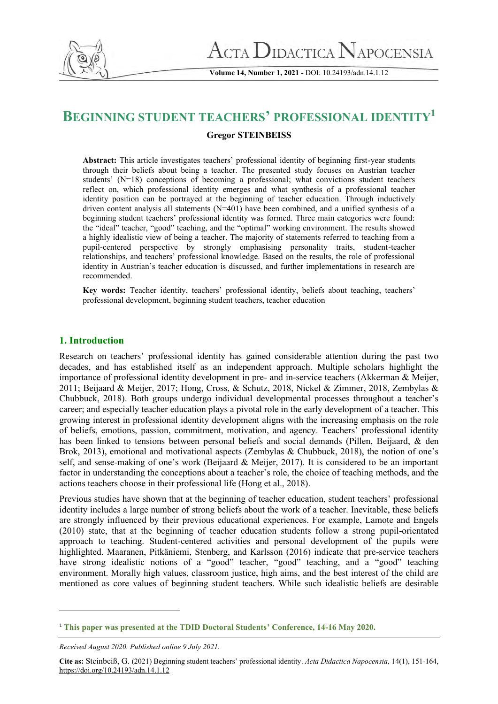

**Volume 14, Number 1, 2021 -** DOI: 10.24193/adn.14.1.12

# **BEGINNING STUDENT TEACHERS' PROFESSIONAL IDENTITY<sup>1</sup>**

# **Gregor STEINBEISS**

**Abstract:** This article investigates teachers' professional identity of beginning first-year students through their beliefs about being a teacher. The presented study focuses on Austrian teacher students' (N=18) conceptions of becoming a professional; what convictions student teachers reflect on, which professional identity emerges and what synthesis of a professional teacher identity position can be portrayed at the beginning of teacher education. Through inductively driven content analysis all statements (N=401) have been combined, and a unified synthesis of a beginning student teachers' professional identity was formed. Three main categories were found: the "ideal" teacher, "good" teaching, and the "optimal" working environment. The results showed a highly idealistic view of being a teacher. The majority of statements referred to teaching from a pupil-centered perspective by strongly emphasising personality traits, student-teacher relationships, and teachers' professional knowledge. Based on the results, the role of professional identity in Austrian's teacher education is discussed, and further implementations in research are recommended.

**Key words:** Teacher identity, teachers' professional identity, beliefs about teaching, teachers' professional development, beginning student teachers, teacher education

# **1. Introduction**

Research on teachers' professional identity has gained considerable attention during the past two decades, and has established itself as an independent approach. Multiple scholars highlight the importance of professional identity development in pre- and in-service teachers (Akkerman & Meijer, 2011; Beijaard & Meijer, 2017; Hong, Cross, & Schutz, 2018, Nickel & Zimmer, 2018, Zembylas & Chubbuck, 2018). Both groups undergo individual developmental processes throughout a teacher's career; and especially teacher education plays a pivotal role in the early development of a teacher. This growing interest in professional identity development aligns with the increasing emphasis on the role of beliefs, emotions, passion, commitment, motivation, and agency. Teachers' professional identity has been linked to tensions between personal beliefs and social demands (Pillen, Beijaard, & den Brok, 2013), emotional and motivational aspects (Zembylas & Chubbuck, 2018), the notion of one's self, and sense-making of one's work (Beijaard & Meijer, 2017). It is considered to be an important factor in understanding the conceptions about a teacher's role, the choice of teaching methods, and the actions teachers choose in their professional life (Hong et al., 2018).

Previous studies have shown that at the beginning of teacher education, student teachers' professional identity includes a large number of strong beliefs about the work of a teacher. Inevitable, these beliefs are strongly influenced by their previous educational experiences. For example, Lamote and Engels (2010) state, that at the beginning of teacher education students follow a strong pupil-orientated approach to teaching. Student-centered activities and personal development of the pupils were highlighted. Maaranen, Pitkäniemi, Stenberg, and Karlsson (2016) indicate that pre-service teachers have strong idealistic notions of a "good" teacher, "good" teaching, and a "good" teaching environment. Morally high values, classroom justice, high aims, and the best interest of the child are mentioned as core values of beginning student teachers. While such idealistic beliefs are desirable

<sup>1</sup> **This paper was presented at the TDID Doctoral Students' Conference, 14-16 May 2020.**

*Received August 2020. Published online 9 July 2021.*

**Cite as:** Steinbeiß, G. (2021) Beginning student teachers' professional identity. *Acta Didactica Napocensia,* 14(1), 151-164, <https://doi.org/10.24193/adn.14.1.12>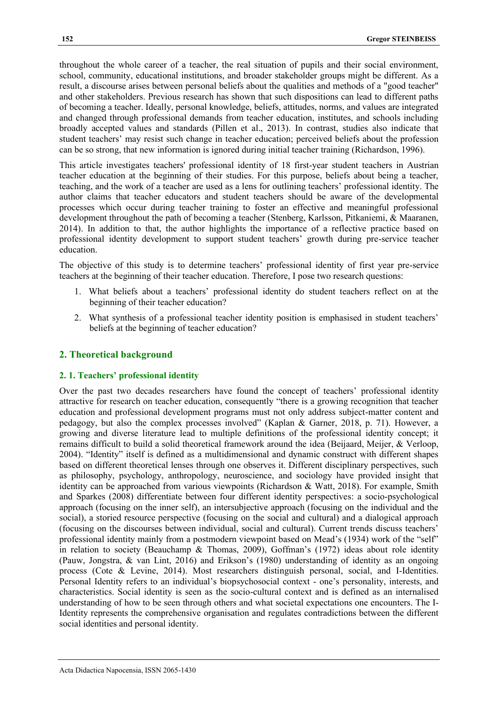throughout the whole career of a teacher, the real situation of pupils and their social environment, school, community, educational institutions, and broader stakeholder groups might be different. As a result, a discourse arises between personal beliefs about the qualities and methods of a "good teacher" and other stakeholders. Previous research has shown that such dispositions can lead to different paths of becoming a teacher. Ideally, personal knowledge, beliefs, attitudes, norms, and values are integrated and changed through professional demands from teacher education, institutes, and schools including broadly accepted values and standards (Pillen et al., 2013). In contrast, studies also indicate that student teachers' may resist such change in teacher education; perceived beliefs about the profession can be so strong, that new information is ignored during initial teacher training (Richardson, 1996).

This article investigates teachers' professional identity of 18 first-year student teachers in Austrian teacher education at the beginning of their studies. For this purpose, beliefs about being a teacher, teaching, and the work of a teacher are used as a lens for outlining teachers' professional identity. The author claims that teacher educators and student teachers should be aware of the developmental processes which occur during teacher training to foster an effective and meaningful professional development throughout the path of becoming a teacher (Stenberg, Karlsson, Pitkaniemi, & Maaranen, 2014). In addition to that, the author highlights the importance of a reflective practice based on professional identity development to support student teachers' growth during pre-service teacher education.

The objective of this study is to determine teachers' professional identity of first year pre-service teachers at the beginning of their teacher education. Therefore, I pose two research questions:

- 1. What beliefs about a teachers' professional identity do student teachers reflect on at the beginning of their teacher education?
- 2. What synthesis of a professional teacher identity position is emphasised in student teachers' beliefs at the beginning of teacher education?

# **2. Theoretical background**

### **2. 1. Teachers' professional identity**

Over the past two decades researchers have found the concept of teachers' professional identity attractive for research on teacher education, consequently "there is a growing recognition that teacher education and professional development programs must not only address subject-matter content and pedagogy, but also the complex processes involved" (Kaplan & Garner, 2018, p. 71). However, a growing and diverse literature lead to multiple definitions of the professional identity concept; it remains difficult to build a solid theoretical framework around the idea (Beijaard, Meijer, & Verloop, 2004). "Identity" itself is defined as a multidimensional and dynamic construct with different shapes based on different theoretical lenses through one observes it. Different disciplinary perspectives, such as philosophy, psychology, anthropology, neuroscience, and sociology have provided insight that identity can be approached from various viewpoints (Richardson & Watt, 2018). For example, Smith and Sparkes (2008) differentiate between four different identity perspectives: a socio-psychological approach (focusing on the inner self), an intersubjective approach (focusing on the individual and the social), a storied resource perspective (focusing on the social and cultural) and a dialogical approach (focusing on the discourses between individual, social and cultural). Current trends discuss teachers' professional identity mainly from a postmodern viewpoint based on Mead's (1934) work of the "self" in relation to society (Beauchamp & Thomas, 2009), Goffman's (1972) ideas about role identity (Pauw, Jongstra, & van Lint, 2016) and Erikson's (1980) understanding of identity as an ongoing process (Cote & Levine, 2014). Most researchers distinguish personal, social, and I-Identities. Personal Identity refers to an individual's biopsychosocial context - one's personality, interests, and characteristics. Social identity is seen as the socio-cultural context and is defined as an internalised understanding of how to be seen through others and what societal expectations one encounters. The I-Identity represents the comprehensive organisation and regulates contradictions between the different social identities and personal identity.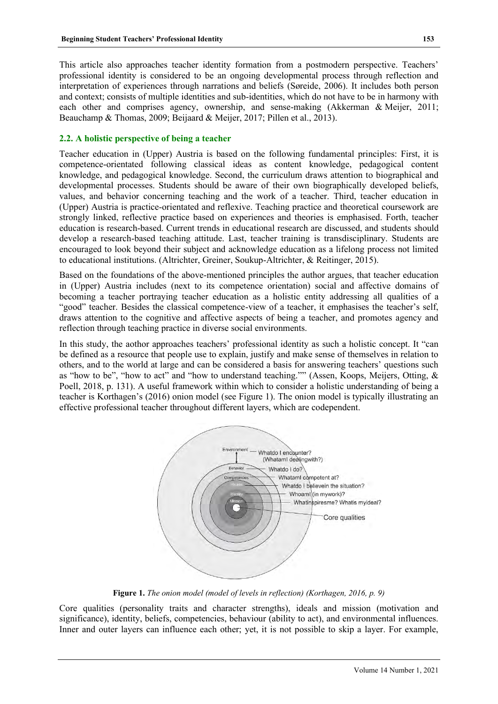This article also approaches teacher identity formation from a postmodern perspective. Teachers' professional identity is considered to be an ongoing developmental process through reflection and interpretation of experiences through narrations and beliefs (Søreide, 2006). It includes both person and context; consists of multiple identities and sub-identities, which do not have to be in harmony with each other and comprises agency, ownership, and sense-making (Akkerman & Meijer, 2011; Beauchamp & Thomas, 2009; Beijaard & Meijer, 2017; Pillen et al., 2013).

# **2.2. A holistic perspective of being a teacher**

Teacher education in (Upper) Austria is based on the following fundamental principles: First, it is competence-orientated following classical ideas as content knowledge, pedagogical content knowledge, and pedagogical knowledge. Second, the curriculum draws attention to biographical and developmental processes. Students should be aware of their own biographically developed beliefs, values, and behavior concerning teaching and the work of a teacher. Third, teacher education in (Upper) Austria is practice-orientated and reflexive. Teaching practice and theoretical coursework are strongly linked, reflective practice based on experiences and theories is emphasised. Forth, teacher education is research-based. Current trends in educational research are discussed, and students should develop a research-based teaching attitude. Last, teacher training is transdisciplinary. Students are encouraged to look beyond their subject and acknowledge education as a lifelong process not limited to educational institutions. (Altrichter, Greiner, Soukup-Altrichter, & Reitinger, 2015).

Based on the foundations of the above-mentioned principles the author argues, that teacher education in (Upper) Austria includes (next to its competence orientation) social and affective domains of becoming a teacher portraying teacher education as a holistic entity addressing all qualities of a "good" teacher. Besides the classical competence-view of a teacher, it emphasises the teacher's self, draws attention to the cognitive and affective aspects of being a teacher, and promotes agency and reflection through teaching practice in diverse social environments.

In this study, the aothor approaches teachers' professional identity as such a holistic concept. It "can be defined as a resource that people use to explain, justify and make sense of themselves in relation to others, and to the world at large and can be considered a basis for answering teachers' questions such as "how to be", "how to act" and "how to understand teaching."" (Assen, Koops, Meijers, Otting, & Poell, 2018, p. 131). A useful framework within which to consider a holistic understanding of being a teacher is Korthagen's (2016) onion model (see Figure 1). The onion model is typically illustrating an effective professional teacher throughout different layers, which are codependent.



**Figure 1.** *The onion model (model of levels in reflection) (Korthagen, 2016, p. 9)*

Core qualities (personality traits and character strengths), ideals and mission (motivation and significance), identity, beliefs, competencies, behaviour (ability to act), and environmental influences. Inner and outer layers can influence each other; yet, it is not possible to skip a layer. For example,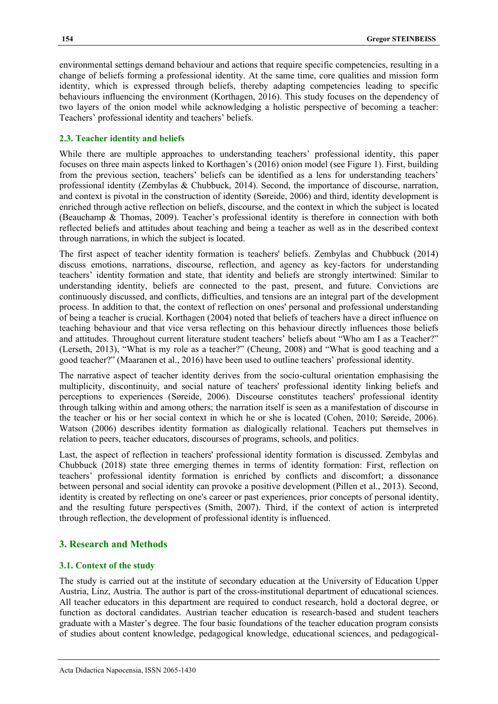environmental settings demand behaviour and actions that require specific competencies, resulting in a change of beliefs forming a professional identity. At the same time, core qualities and mission form identity, which is expressed through beliefs, thereby adapting competencies leading to specific behaviours influencing the environment (Korthagen, 2016). This study focuses on the dependency of two layers of the onion model while acknowledging a holistic perspective of becoming a teacher: Teachers' professional identity and teachers' beliefs.

# **2.3. Teacher identity and beliefs**

While there are multiple approaches to understanding teachers' professional identity, this paper focuses on three main aspects linked to Korthagen's (2016) onion model (see Figure 1). First, building from the previous section, teachers' beliefs can be identified as a lens for understanding teachers' professional identity (Zembylas & Chubbuck, 2014). Second, the importance of discourse, narration, and context is pivotal in the construction of identity (Søreide, 2006) and third, identity development is enriched through active reflection on beliefs, discourse, and the context in which the subject is located (Beauchamp & Thomas, 2009). Teacher's professional identity is therefore in connection with both reflected beliefs and attitudes about teaching and being a teacher as well as in the described context through narrations, in which the subject is located.

The first aspect of teacher identity formation is teachers' beliefs. Zembylas and Chubbuck (2014) discuss emotions, narrations, discourse, reflection, and agency as key-factors for understanding teachers' identity formation and state, that identity and beliefs are strongly intertwined: Similar to understanding identity, beliefs are connected to the past, present, and future. Convictions are continuously discussed, and conflicts, difficulties, and tensions are an integral part of the development process. In addition to that, the context of reflection on ones' personal and professional understanding of being a teacher is crucial. Korthagen (2004) noted that beliefs of teachers have a direct influence on teaching behaviour and that vice versa reflecting on this behaviour directly influences those beliefs and attitudes. Throughout current literature student teachers' beliefs about "Who am I as a Teacher?" (Lerseth, 2013), "What is my role as a teacher?" (Cheung, 2008) and "What is good teaching and a good teacher?" (Maaranen et al., 2016) have been used to outline teachers' professional identity.

The narrative aspect of teacher identity derives from the socio-cultural orientation emphasising the multiplicity, discontinuity, and social nature of teachers' professional identity linking beliefs and perceptions to experiences (Søreide, 2006). Discourse constitutes teachers' professional identity through talking within and among others; the narration itself is seen as a manifestation of discourse in the teacher or his or her social context in which he or she is located (Cohen, 2010; Søreide, 2006). Watson (2006) describes identity formation as dialogically relational. Teachers put themselves in relation to peers, teacher educators, discourses of programs, schools, and politics.

Last, the aspect of reflection in teachers' professional identity formation is discussed. Zembylas and Chubbuck (2018) state three emerging themes in terms of identity formation: First, reflection on teachers' professional identity formation is enriched by conflicts and discomfort; a dissonance between personal and social identity can provoke a positive development (Pillen et al., 2013). Second, identity is created by reflecting on one's career or past experiences, prior concepts of personal identity, and the resulting future perspectives (Smith, 2007). Third, if the context of action is interpreted through reflection, the development of professional identity is influenced.

# **3. Research and Methods**

# **3.1. Context of the study**

The study is carried out at the institute of secondary education at the University of Education Upper Austria, Linz, Austria. The author is part of the cross-institutional department of educational sciences. All teacher educators in this department are required to conduct research, hold a doctoral degree, or function as doctoral candidates. Austrian teacher education is research-based and student teachers graduate with a Master's degree. The four basic foundations of the teacher education program consists of studies about content knowledge, pedagogical knowledge, educational sciences, and pedagogical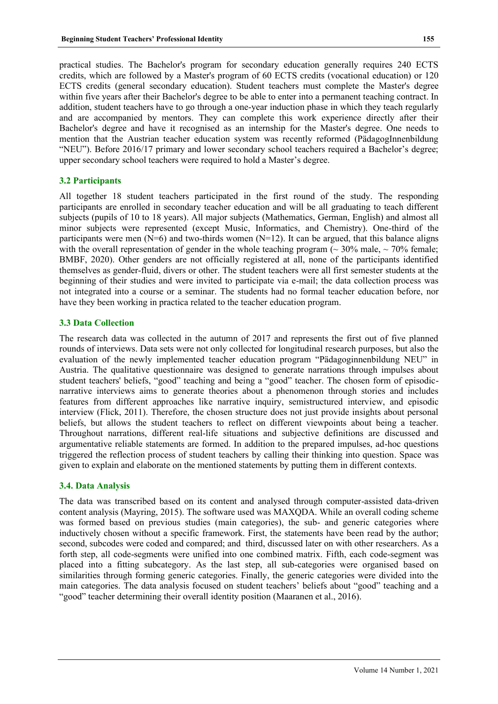practical studies. The Bachelor's program for secondary education generally requires 240 ECTS credits, which are followed by a Master's program of 60 ECTS credits (vocational education) or 120 ECTS credits (general secondary education). Student teachers must complete the Master's degree within five years after their Bachelor's degree to be able to enter into a permanent teaching contract. In addition, student teachers have to go through a one-year induction phase in which they teach regularly and are accompanied by mentors. They can complete this work experience directly after their Bachelor's degree and have it recognised as an internship for the Master's degree. One needs to mention that the Austrian teacher education system was recently reformed (PädagogInnenbildung "NEU"). Before 2016/17 primary and lower secondary school teachers required a Bachelor's degree; upper secondary school teachers were required to hold a Master's degree.

# **3.2 Participants**

All together 18 student teachers participated in the first round of the study. The responding participants are enrolled in secondary teacher education and will be all graduating to teach different subjects (pupils of 10 to 18 years). All major subjects (Mathematics, German, English) and almost all minor subjects were represented (except Music, Informatics, and Chemistry). One-third of the participants were men  $(N=6)$  and two-thirds women  $(N=12)$ . It can be argued, that this balance aligns with the overall representation of gender in the whole teaching program ( $\sim$  30% male,  $\sim$  70% female; BMBF, 2020). Other genders are not officially registered at all, none of the participants identified themselves as gender-fluid, divers or other. The student teachers were all first semester students at the beginning of their studies and were invited to participate via e-mail; the data collection process was not integrated into a course or a seminar. The students had no formal teacher education before, nor have they been working in practica related to the teacher education program.

#### **3.3 Data Collection**

The research data was collected in the autumn of 2017 and represents the first out of five planned rounds of interviews. Data sets were not only collected for longitudinal research purposes, but also the evaluation of the newly implemented teacher education program "Pädagoginnenbildung NEU" in Austria. The qualitative questionnaire was designed to generate narrations through impulses about student teachers' beliefs, "good" teaching and being a "good" teacher. The chosen form of episodicnarrative interviews aims to generate theories about a phenomenon through stories and includes features from different approaches like narrative inquiry, semistructured interview, and episodic interview (Flick, 2011). Therefore, the chosen structure does not just provide insights about personal beliefs, but allows the student teachers to reflect on different viewpoints about being a teacher. Throughout narrations, different real-life situations and subjective definitions are discussed and argumentative reliable statements are formed. In addition to the prepared impulses, ad-hoc questions triggered the reflection process of student teachers by calling their thinking into question. Space was given to explain and elaborate on the mentioned statements by putting them in different contexts.

#### **3.4. Data Analysis**

The data was transcribed based on its content and analysed through computer-assisted data-driven content analysis (Mayring, 2015). The software used was MAXQDA. While an overall coding scheme was formed based on previous studies (main categories), the sub- and generic categories where inductively chosen without a specific framework. First, the statements have been read by the author; second, subcodes were coded and compared; and third, discussed later on with other researchers. As a forth step, all code-segments were unified into one combined matrix. Fifth, each code-segment was placed into a fitting subcategory. As the last step, all sub-categories were organised based on similarities through forming generic categories. Finally, the generic categories were divided into the main categories. The data analysis focused on student teachers' beliefs about "good" teaching and a "good" teacher determining their overall identity position (Maaranen et al., 2016).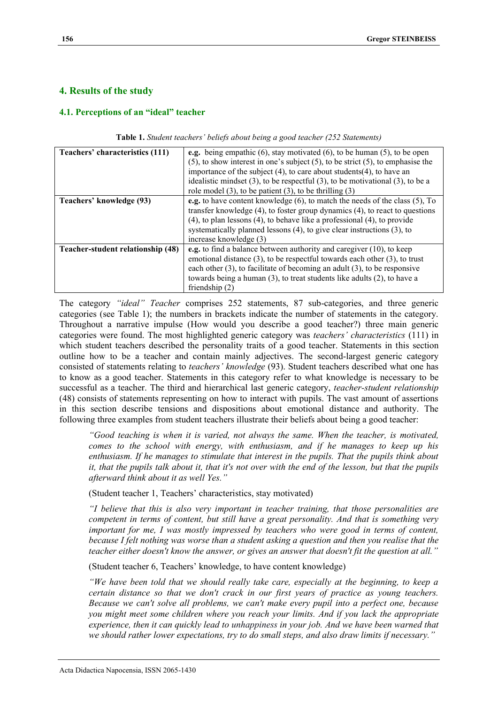# **4. Results of the study**

# **4.1. Perceptions of an "ideal" teacher**

| Teachers' characteristics (111)   | e.g. being empathic $(6)$ , stay motivated $(6)$ , to be human $(5)$ , to be open       |  |  |  |  |
|-----------------------------------|-----------------------------------------------------------------------------------------|--|--|--|--|
|                                   | $(5)$ , to show interest in one's subject $(5)$ , to be strict $(5)$ , to emphasise the |  |  |  |  |
|                                   | importance of the subject (4), to care about students(4), to have an                    |  |  |  |  |
|                                   | idealistic mindset $(3)$ , to be respectful $(3)$ , to be motivational $(3)$ , to be a  |  |  |  |  |
|                                   | role model $(3)$ , to be patient $(3)$ , to be thrilling $(3)$                          |  |  |  |  |
| Teachers' knowledge (93)          | e.g. to have content knowledge (6), to match the needs of the class (5), To             |  |  |  |  |
|                                   | transfer knowledge $(4)$ , to foster group dynamics $(4)$ , to react to questions       |  |  |  |  |
|                                   | $(4)$ , to plan lessons $(4)$ , to behave like a professional $(4)$ , to provide        |  |  |  |  |
|                                   | systematically planned lessons $(4)$ , to give clear instructions $(3)$ , to            |  |  |  |  |
|                                   | increase knowledge (3)                                                                  |  |  |  |  |
| Teacher-student relationship (48) | e.g. to find a balance between authority and caregiver $(10)$ , to keep                 |  |  |  |  |
|                                   | emotional distance $(3)$ , to be respectful towards each other $(3)$ , to trust         |  |  |  |  |
|                                   | each other $(3)$ , to facilitate of becoming an adult $(3)$ , to be responsive          |  |  |  |  |
|                                   | towards being a human (3), to treat students like adults (2), to have a                 |  |  |  |  |
|                                   | friendship $(2)$                                                                        |  |  |  |  |

**Table 1.** *Student teachers' beliefs about being a good teacher (252 Statements)*

The category *"ideal" Teacher* comprises 252 statements, 87 sub-categories, and three generic categories (see Table 1); the numbers in brackets indicate the number of statements in the category. Throughout a narrative impulse (How would you describe a good teacher?) three main generic categories were found. The most highlighted generic category was *teachers' characteristics* (111) in which student teachers described the personality traits of a good teacher. Statements in this section outline how to be a teacher and contain mainly adjectives. The second-largest generic category consisted of statements relating to *teachers' knowledge* (93). Student teachers described what one has to know as a good teacher. Statements in this category refer to what knowledge is necessary to be successful as a teacher. The third and hierarchical last generic category, *teacher-student relationship* (48) consists of statements representing on how to interact with pupils. The vast amount of assertions in this section describe tensions and dispositions about emotional distance and authority. The following three examples from student teachers illustrate their beliefs about being a good teacher:

*"Good teaching is when it is varied, not always the same. When the teacher, is motivated, comes to the school with energy, with enthusiasm, and if he manages to keep up his enthusiasm. If he manages to stimulate that interest in the pupils. That the pupils think about it, that the pupils talk about it, that it's not over with the end of the lesson, but that the pupils afterward think about it as well Yes."*

(Student teacher 1, Teachers' characteristics, stay motivated)

*"I believe that this is also very important in teacher training, that those personalities are competent in terms of content, but still have a great personality. And that is something very important for me, I was mostly impressed by teachers who were good in terms of content, because I felt nothing was worse than a student asking a question and then you realise that the teacher either doesn't know the answer, or gives an answer that doesn't fit the question at all."*

(Student teacher 6, Teachers' knowledge, to have content knowledge)

*"We have been told that we should really take care, especially at the beginning, to keep a certain distance so that we don't crack in our first years of practice as young teachers. Because we can't solve all problems, we can't make every pupil into a perfect one, because you might meet some children where you reach your limits. And if you lack the appropriate experience, then it can quickly lead to unhappiness in your job. And we have been warned that we should rather lower expectations, try to do small steps, and also draw limits if necessary."*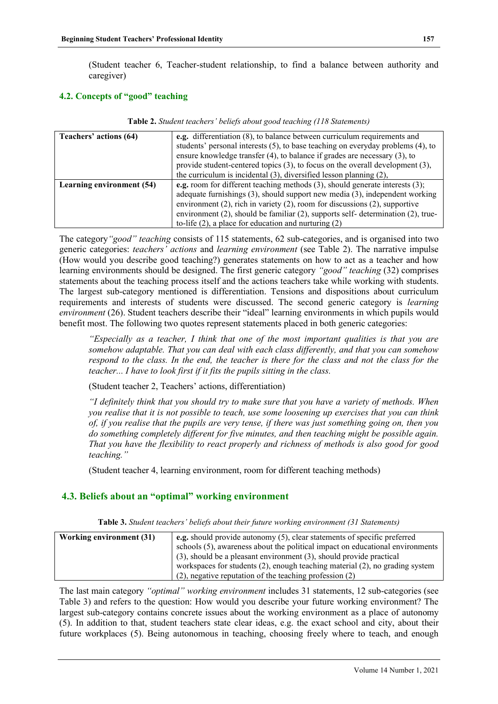(Student teacher 6, Teacher-student relationship, to find a balance between authority and caregiver)

# **4.2. Concepts of "good" teaching**

| Teachers' actions (64)           | e.g. differentiation (8), to balance between curriculum requirements and<br>students' personal interests (5), to base teaching on everyday problems (4), to<br>ensure knowledge transfer $(4)$ , to balance if grades are necessary $(3)$ , to<br>provide student-centered topics $(3)$ , to focus on the overall development $(3)$ ,<br>the curriculum is incidental $(3)$ , diversified lesson planning $(2)$ ,              |
|----------------------------------|--------------------------------------------------------------------------------------------------------------------------------------------------------------------------------------------------------------------------------------------------------------------------------------------------------------------------------------------------------------------------------------------------------------------------------|
| <b>Learning environment (54)</b> | <b>e.g.</b> room for different teaching methods $(3)$ , should generate interests $(3)$ ;<br>adequate furnishings $(3)$ , should support new media $(3)$ , independent working<br>environment $(2)$ , rich in variety $(2)$ , room for discussions $(2)$ , supportive<br>environment $(2)$ , should be familiar $(2)$ , supports self-determination $(2)$ , true-<br>to-life $(2)$ , a place for education and nurturing $(2)$ |

**Table 2.** *Student teachers' beliefs about good teaching (118 Statements)*

The category*"good" teaching* consists of 115 statements, 62 sub-categories, and is organised into two generic categories: *teachers' actions* and *learning environment* (see Table 2). The narrative impulse (How would you describe good teaching?) generates statements on how to act as a teacher and how learning environments should be designed. The first generic category *"good" teaching* (32) comprises statements about the teaching process itself and the actions teachers take while working with students. The largest sub-category mentioned is differentiation. Tensions and dispositions about curriculum requirements and interests of students were discussed. The second generic category is *learning environment* (26). Student teachers describe their "ideal" learning environments in which pupils would benefit most. The following two quotes represent statements placed in both generic categories:

*"Especially as a teacher, I think that one of the most important qualities is that you are somehow adaptable. That you can deal with each class differently, and that you can somehow respond to the class. In the end, the teacher is there for the class and not the class for the teacher... I have to look first if it fits the pupils sitting in the class.*

# (Student teacher 2, Teachers' actions, differentiation)

*"I definitely think that you should try to make sure that you have a variety of methods. When you realise that it is not possible to teach, use some loosening up exercises that you can think of, if you realise that the pupils are very tense, if there was just something going on, then you do something completely different for five minutes, and then teaching might be possible again. That you have the flexibility to react properly and richness of methods is also good for good teaching."*

(Student teacher 4, learning environment, room for different teaching methods)

# **4.3. Beliefs about an "optimal" working environment**

| Table 3. Student teachers' beliefs about their future working environment (31 Statements) |  |  |  |  |  |  |
|-------------------------------------------------------------------------------------------|--|--|--|--|--|--|
|-------------------------------------------------------------------------------------------|--|--|--|--|--|--|

| <b>Working environment (31)</b> | <b>e.g.</b> should provide autonomy $(5)$ , clear statements of specific preferred |  |  |
|---------------------------------|------------------------------------------------------------------------------------|--|--|
|                                 | schools (5), awareness about the political impact on educational environments      |  |  |
|                                 | $(3)$ , should be a pleasant environment $(3)$ , should provide practical          |  |  |
|                                 | workspaces for students (2), enough teaching material (2), no grading system       |  |  |
|                                 | $(2)$ , negative reputation of the teaching profession $(2)$                       |  |  |

The last main category *"optimal" working environment* includes 31 statements, 12 sub-categories (see Table 3) and refers to the question: How would you describe your future working environment? The largest sub-category contains concrete issues about the working environment as a place of autonomy (5). In addition to that, student teachers state clear ideas, e.g. the exact school and city, about their future workplaces (5). Being autonomous in teaching, choosing freely where to teach, and enough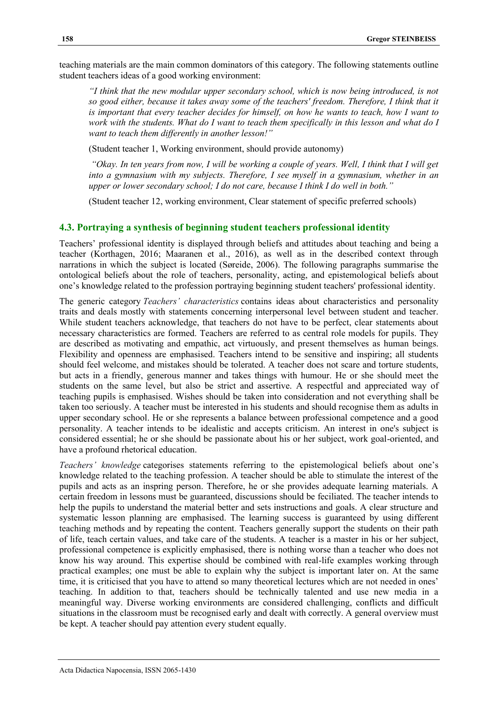teaching materials are the main common dominators of this category. The following statements outline student teachers ideas of a good working environment:

*"I think that the new modular upper secondary school, which is now being introduced, is not so good either, because it takes away some of the teachers' freedom. Therefore, I think that it is important that every teacher decides for himself, on how he wants to teach, how I want to work with the students. What do I want to teach them specifically in this lesson and what do I want to teach them differently in another lesson!"*

(Student teacher 1, Working environment, should provide autonomy)

*"Okay. In ten years from now, I will be working a couple of years. Well, I think that I will get into a gymnasium with my subjects. Therefore, I see myself in a gymnasium, whether in an upper or lower secondary school; I do not care, because I think I do well in both."*

(Student teacher 12, working environment, Clear statement of specific preferred schools)

# **4.3. Portraying a synthesis of beginning student teachers professional identity**

Teachers' professional identity is displayed through beliefs and attitudes about teaching and being a teacher (Korthagen, 2016; Maaranen et al., 2016), as well as in the described context through narrations in which the subject is located (Søreide, 2006). The following paragraphs summarise the ontological beliefs about the role of teachers, personality, acting, and epistemological beliefs about one's knowledge related to the profession portraying beginning student teachers' professional identity.

The generic category *Teachers' characteristics* contains ideas about characteristics and personality traits and deals mostly with statements concerning interpersonal level between student and teacher. While student teachers acknowledge, that teachers do not have to be perfect, clear statements about necessary characteristics are formed. Teachers are referred to as central role models for pupils. They are described as motivating and empathic, act virtuously, and present themselves as human beings. Flexibility and openness are emphasised. Teachers intend to be sensitive and inspiring; all students should feel welcome, and mistakes should be tolerated. A teacher does not scare and torture students, but acts in a friendly, generous manner and takes things with humour. He or she should meet the students on the same level, but also be strict and assertive. A respectful and appreciated way of teaching pupils is emphasised. Wishes should be taken into consideration and not everything shall be taken too seriously. A teacher must be interested in his students and should recognise them as adults in upper secondary school. He or she represents a balance between professional competence and a good personality. A teacher intends to be idealistic and accepts criticism. An interest in one's subject is considered essential; he or she should be passionate about his or her subject, work goal-oriented, and have a profound rhetorical education.

*Teachers' knowledge* categorises statements referring to the epistemological beliefs about one's knowledge related to the teaching profession. A teacher should be able to stimulate the interest of the pupils and acts as an inspring person. Therefore, he or she provides adequate learning materials. A certain freedom in lessons must be guaranteed, discussions should be feciliated. The teacher intends to help the pupils to understand the material better and sets instructions and goals. A clear structure and systematic lesson planning are emphasised. The learning success is guaranteed by using different teaching methods and by repeating the content. Teachers generally support the students on their path of life, teach certain values, and take care of the students. A teacher is a master in his or her subject, professional competence is explicitly emphasised, there is nothing worse than a teacher who does not know his way around. This expertise should be combined with real-life examples working through practical examples; one must be able to explain why the subject is important later on. At the same time, it is criticised that you have to attend so many theoretical lectures which are not needed in ones' teaching. In addition to that, teachers should be technically talented and use new media in a meaningful way. Diverse working environments are considered challenging, conflicts and difficult situations in the classroom must be recognised early and dealt with correctly. A general overview must be kept. A teacher should pay attention every student equally.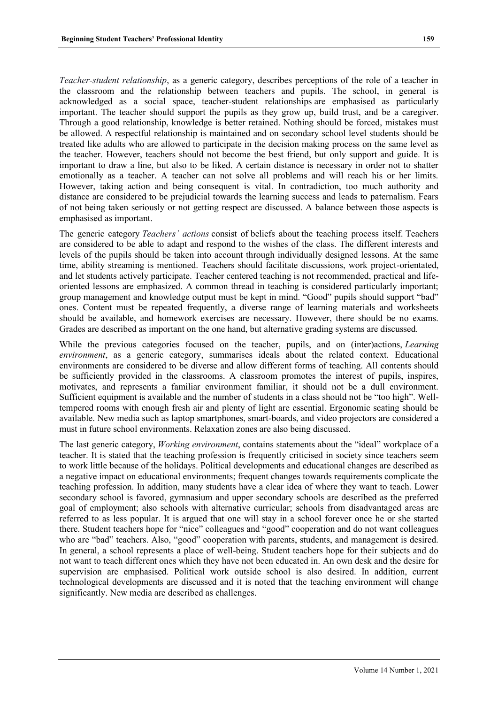*Teacher-student relationship*, as a generic category, describes perceptions of the role of a teacher in the classroom and the relationship between teachers and pupils. The school, in general is acknowledged as a social space, teacher-student relationships are emphasised as particularly important. The teacher should support the pupils as they grow up, build trust, and be a caregiver. Through a good relationship, knowledge is better retained. Nothing should be forced, mistakes must be allowed. A respectful relationship is maintained and on secondary school level students should be treated like adults who are allowed to participate in the decision making process on the same level as the teacher. However, teachers should not become the best friend, but only support and guide. It is important to draw a line, but also to be liked. A certain distance is necessary in order not to shatter emotionally as a teacher. A teacher can not solve all problems and will reach his or her limits. However, taking action and being consequent is vital. In contradiction, too much authority and distance are considered to be prejudicial towards the learning success and leads to paternalism. Fears of not being taken seriously or not getting respect are discussed. A balance between those aspects is emphasised as important.

The generic category *Teachers' actions* consist of beliefs about the teaching process itself. Teachers are considered to be able to adapt and respond to the wishes of the class. The different interests and levels of the pupils should be taken into account through individually designed lessons. At the same time, ability streaming is mentioned. Teachers should facilitate discussions, work project-orientated, and let students actively participate. Teacher centered teaching is not recommended, practical and lifeoriented lessons are emphasized. A common thread in teaching is considered particularly important; group management and knowledge output must be kept in mind. "Good" pupils should support "bad" ones. Content must be repeated frequently, a diverse range of learning materials and worksheets should be available, and homework exercises are necessary. However, there should be no exams. Grades are described as important on the one hand, but alternative grading systems are discussed.

While the previous categories focused on the teacher, pupils, and on (inter)actions, *Learning environment*, as a generic category, summarises ideals about the related context. Educational environments are considered to be diverse and allow different forms of teaching. All contents should be sufficiently provided in the classrooms. A classroom promotes the interest of pupils, inspires, motivates, and represents a familiar environment familiar, it should not be a dull environment. Sufficient equipment is available and the number of students in a class should not be "too high". Welltempered rooms with enough fresh air and plenty of light are essential. Ergonomic seating should be available. New media such as laptop smartphones, smart-boards, and video projectors are considered a must in future school environments. Relaxation zones are also being discussed.

The last generic category, *Working environment*, contains statements about the "ideal" workplace of a teacher. It is stated that the teaching profession is frequently criticised in society since teachers seem to work little because of the holidays. Political developments and educational changes are described as a negative impact on educational environments; frequent changes towards requirements complicate the teaching profession. In addition, many students have a clear idea of where they want to teach. Lower secondary school is favored, gymnasium and upper secondary schools are described as the preferred goal of employment; also schools with alternative curricular; schools from disadvantaged areas are referred to as less popular. It is argued that one will stay in a school forever once he or she started there. Student teachers hope for "nice" colleagues and "good" cooperation and do not want colleagues who are "bad" teachers. Also, "good" cooperation with parents, students, and management is desired. In general, a school represents a place of well-being. Student teachers hope for their subjects and do not want to teach different ones which they have not been educated in. An own desk and the desire for supervision are emphasised. Political work outside school is also desired. In addition, current technological developments are discussed and it is noted that the teaching environment will change significantly. New media are described as challenges.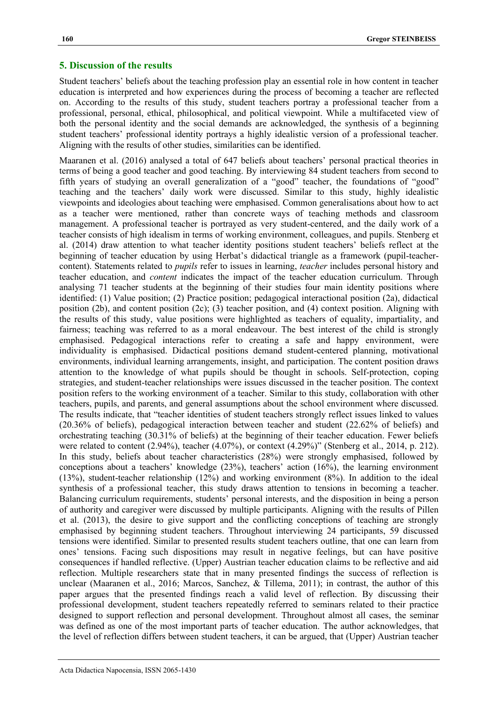# **5. Discussion of the results**

Student teachers' beliefs about the teaching profession play an essential role in how content in teacher education is interpreted and how experiences during the process of becoming a teacher are reflected on. According to the results of this study, student teachers portray a professional teacher from a professional, personal, ethical, philosophical, and political viewpoint. While a multifaceted view of both the personal identity and the social demands are acknowledged, the synthesis of a beginning student teachers' professional identity portrays a highly idealistic version of a professional teacher. Aligning with the results of other studies, similarities can be identified.

Maaranen et al. (2016) analysed a total of 647 beliefs about teachers' personal practical theories in terms of being a good teacher and good teaching. By interviewing 84 student teachers from second to fifth years of studying an overall generalization of a "good" teacher, the foundations of "good" teaching and the teachers' daily work were discussed. Similar to this study, highly idealistic viewpoints and ideologies about teaching were emphasised. Common generalisations about how to act as a teacher were mentioned, rather than concrete ways of teaching methods and classroom management. A professional teacher is portrayed as very student-centered, and the daily work of a teacher consists of high idealism in terms of working environment, colleagues, and pupils. Stenberg et al. (2014) draw attention to what teacher identity positions student teachers' beliefs reflect at the beginning of teacher education by using Herbat's didactical triangle as a framework (pupil-teachercontent). Statements related to *pupils* refer to issues in learning, *teacher* includes personal history and teacher education, and *content* indicates the impact of the teacher education curriculum. Through analysing 71 teacher students at the beginning of their studies four main identity positions where identified: (1) Value position; (2) Practice position; pedagogical interactional position (2a), didactical position (2b), and content position (2c); (3) teacher position, and (4) context position. Aligning with the results of this study, value positions were highlighted as teachers of equality, impartiality, and fairness; teaching was referred to as a moral endeavour. The best interest of the child is strongly emphasised. Pedagogical interactions refer to creating a safe and happy environment, were individuality is emphasised. Didactical positions demand student-centered planning, motivational environments, individual learning arrangements, insight, and participation. The content position draws attention to the knowledge of what pupils should be thought in schools. Self-protection, coping strategies, and student-teacher relationships were issues discussed in the teacher position. The context position refers to the working environment of a teacher. Similar to this study, collaboration with other teachers, pupils, and parents, and general assumptions about the school environment where discussed. The results indicate, that "teacher identities of student teachers strongly reflect issues linked to values (20.36% of beliefs), pedagogical interaction between teacher and student (22.62% of beliefs) and orchestrating teaching (30.31% of beliefs) at the beginning of their teacher education. Fewer beliefs were related to content (2.94%), teacher (4.07%), or context (4.29%)" (Stenberg et al., 2014, p. 212). In this study, beliefs about teacher characteristics (28%) were strongly emphasised, followed by conceptions about a teachers' knowledge  $(23%)$ , teachers' action  $(16%)$ , the learning environment (13%), student-teacher relationship (12%) and working environment (8%). In addition to the ideal synthesis of a professional teacher, this study draws attention to tensions in becoming a teacher. Balancing curriculum requirements, students' personal interests, and the disposition in being a person of authority and caregiver were discussed by multiple participants. Aligning with the results of Pillen et al. (2013), the desire to give support and the conflicting conceptions of teaching are strongly emphasised by beginning student teachers. Throughout interviewing 24 participants, 59 discussed tensions were identified. Similar to presented results student teachers outline, that one can learn from ones' tensions. Facing such dispositions may result in negative feelings, but can have positive consequences if handled reflective. (Upper) Austrian teacher education claims to be reflective and aid reflection. Multiple researchers state that in many presented findings the success of reflection is unclear (Maaranen et al., 2016; Marcos, Sanchez, & Tillema, 2011); in contrast, the author of this paper argues that the presented findings reach a valid level of reflection. By discussing their professional development, student teachers repeatedly referred to seminars related to their practice designed to support reflection and personal development. Throughout almost all cases, the seminar was defined as one of the most important parts of teacher education. The author acknowledges, that the level of reflection differs between student teachers, it can be argued, that (Upper) Austrian teacher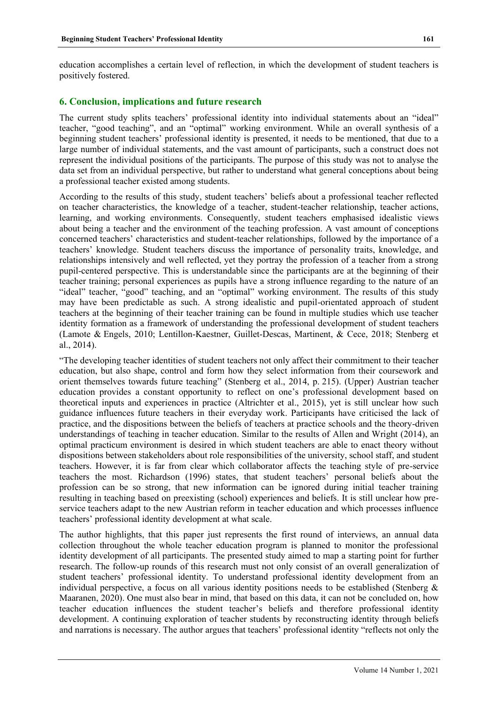education accomplishes a certain level of reflection, in which the development of student teachers is positively fostered.

## **6. Conclusion, implications and future research**

The current study splits teachers' professional identity into individual statements about an "ideal" teacher, "good teaching", and an "optimal" working environment. While an overall synthesis of a beginning student teachers' professional identity is presented, it needs to be mentioned, that due to a large number of individual statements, and the vast amount of participants, such a construct does not represent the individual positions of the participants. The purpose of this study was not to analyse the data set from an individual perspective, but rather to understand what general conceptions about being a professional teacher existed among students.

According to the results of this study, student teachers' beliefs about a professional teacher reflected on teacher characteristics, the knowledge of a teacher, student-teacher relationship, teacher actions, learning, and working environments. Consequently, student teachers emphasised idealistic views about being a teacher and the environment of the teaching profession. A vast amount of conceptions concerned teachers' characteristics and student-teacher relationships, followed by the importance of a teachers' knowledge. Student teachers discuss the importance of personality traits, knowledge, and relationships intensively and well reflected, yet they portray the profession of a teacher from a strong pupil-centered perspective. This is understandable since the participants are at the beginning of their teacher training; personal experiences as pupils have a strong influence regarding to the nature of an "ideal" teacher, "good" teaching, and an "optimal" working environment. The results of this study may have been predictable as such. A strong idealistic and pupil-orientated approach of student teachers at the beginning of their teacher training can be found in multiple studies which use teacher identity formation as a framework of understanding the professional development of student teachers (Lamote & Engels, 2010; Lentillon-Kaestner, Guillet-Descas, Martinent, & Cece, 2018; Stenberg et al., 2014).

"The developing teacher identities of student teachers not only affect their commitment to their teacher education, but also shape, control and form how they select information from their coursework and orient themselves towards future teaching" (Stenberg et al., 2014, p. 215). (Upper) Austrian teacher education provides a constant opportunity to reflect on one's professional development based on theoretical inputs and experiences in practice (Altrichter et al., 2015), yet is still unclear how such guidance influences future teachers in their everyday work. Participants have criticised the lack of practice, and the dispositions between the beliefs of teachers at practice schools and the theory-driven understandings of teaching in teacher education. Similar to the results of Allen and Wright (2014), an optimal practicum environment is desired in which student teachers are able to enact theory without dispositions between stakeholders about role responsibilities of the university, school staff, and student teachers. However, it is far from clear which collaborator affects the teaching style of pre-service teachers the most. Richardson (1996) states, that student teachers' personal beliefs about the profession can be so strong, that new information can be ignored during initial teacher training resulting in teaching based on preexisting (school) experiences and beliefs. It is still unclear how preservice teachers adapt to the new Austrian reform in teacher education and which processes influence teachers' professional identity development at what scale.

The author highlights, that this paper just represents the first round of interviews, an annual data collection throughout the whole teacher education program is planned to monitor the professional identity development of all participants. The presented study aimed to map a starting point for further research. The follow-up rounds of this research must not only consist of an overall generalization of student teachers' professional identity. To understand professional identity development from an individual perspective, a focus on all various identity positions needs to be established (Stenberg  $\&$ Maaranen, 2020). One must also bear in mind, that based on this data, it can not be concluded on, how teacher education influences the student teacher's beliefs and therefore professional identity development. A continuing exploration of teacher students by reconstructing identity through beliefs and narrations is necessary. The author argues that teachers' professional identity "reflects not only the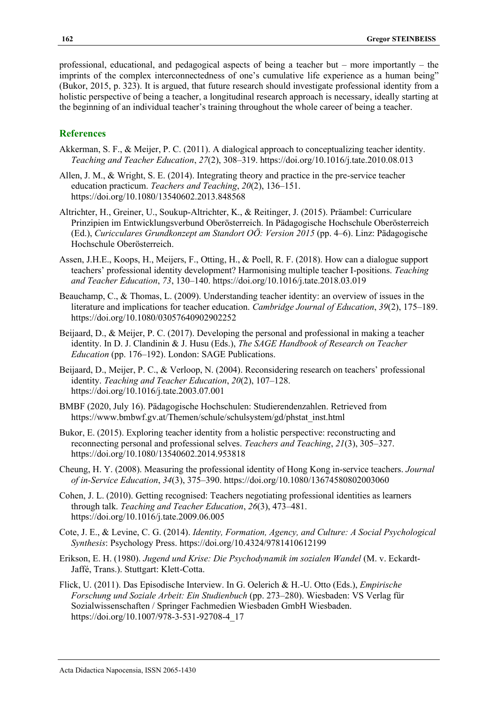professional, educational, and pedagogical aspects of being a teacher but – more importantly – the imprints of the complex interconnectedness of one's cumulative life experience as a human being" (Bukor, 2015, p. 323). It is argued, that future research should investigate professional identity from a holistic perspective of being a teacher, a longitudinal research approach is necessary, ideally starting at the beginning of an individual teacher's training throughout the whole career of being a teacher.

# **References**

- Akkerman, S. F., & Meijer, P. C. (2011). A dialogical approach to conceptualizing teacher identity. *Teaching and Teacher Education*, *27*(2), 308–319. https://doi.org/10.1016/j.tate.2010.08.013
- Allen, J. M., & Wright, S. E. (2014). Integrating theory and practice in the pre-service teacher education practicum. *Teachers and Teaching*, *20*(2), 136–151. https://doi.org/10.1080/13540602.2013.848568
- Altrichter, H., Greiner, U., Soukup-Altrichter, K., & Reitinger, J. (2015). Präambel: Curriculare Prinzipien im Entwicklungsverbund Oberösterreich. In Pädagogische Hochschule Oberösterreich (Ed.), *Curicculares Grundkonzept am Standort OÖ: Version 2015* (pp. 4–6). Linz: Pädagogische Hochschule Oberösterreich.
- Assen, J.H.E., Koops, H., Meijers, F., Otting, H., & Poell, R. F. (2018). How can a dialogue support teachers' professional identity development? Harmonising multiple teacher I-positions. *Teaching and Teacher Education*, *73*, 130–140. https://doi.org/10.1016/j.tate.2018.03.019
- Beauchamp, C., & Thomas, L. (2009). Understanding teacher identity: an overview of issues in the literature and implications for teacher education. *Cambridge Journal of Education*, *39*(2), 175–189. https://doi.org/10.1080/03057640902902252
- Beijaard, D., & Meijer, P. C. (2017). Developing the personal and professional in making a teacher identity. In D. J. Clandinin & J. Husu (Eds.), *The SAGE Handbook of Research on Teacher Education* (pp. 176–192). London: SAGE Publications.
- Beijaard, D., Meijer, P. C., & Verloop, N. (2004). Reconsidering research on teachers' professional identity. *Teaching and Teacher Education*, *20*(2), 107–128. https://doi.org/10.1016/j.tate.2003.07.001
- BMBF (2020, July 16). Pädagogische Hochschulen: Studierendenzahlen. Retrieved from https://www.bmbwf.gv.at/Themen/schule/schulsystem/gd/phstat\_inst.html
- Bukor, E. (2015). Exploring teacher identity from a holistic perspective: reconstructing and reconnecting personal and professional selves. *Teachers and Teaching*, *21*(3), 305–327. https://doi.org/10.1080/13540602.2014.953818
- Cheung, H. Y. (2008). Measuring the professional identity of Hong Kong in‐service teachers. *Journal of in-Service Education*, *34*(3), 375–390. https://doi.org/10.1080/13674580802003060
- Cohen, J. L. (2010). Getting recognised: Teachers negotiating professional identities as learners through talk. *Teaching and Teacher Education*, *26*(3), 473–481. https://doi.org/10.1016/j.tate.2009.06.005
- Cote, J. E., & Levine, C. G. (2014). *Identity, Formation, Agency, and Culture: A Social Psychological Synthesis*: Psychology Press. https://doi.org/10.4324/9781410612199
- Erikson, E. H. (1980). *Jugend und Krise: Die Psychodynamik im sozialen Wandel* (M. v. Eckardt-Jaffé, Trans.). Stuttgart: Klett-Cotta.
- Flick, U. (2011). Das Episodische Interview. In G. Oelerich & H.-U. Otto (Eds.), *Empirische Forschung und Soziale Arbeit: Ein Studienbuch* (pp. 273–280). Wiesbaden: VS Verlag für Sozialwissenschaften / Springer Fachmedien Wiesbaden GmbH Wiesbaden. https://doi.org/10.1007/978-3-531-92708-4\_17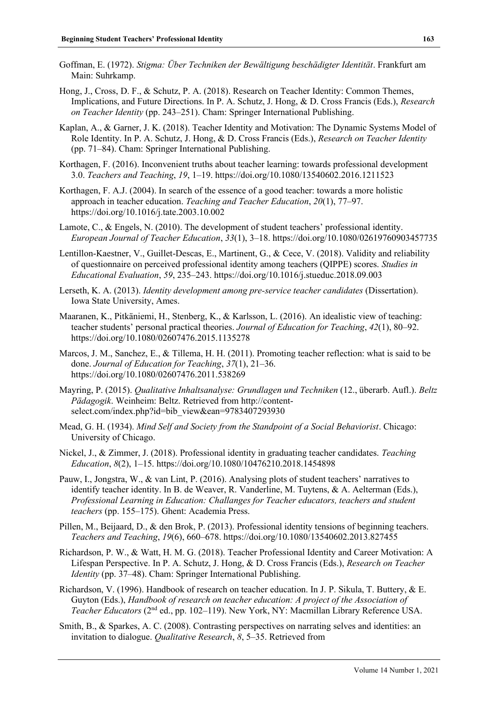- Goffman, E. (1972). *Stigma: Über Techniken der Bewältigung beschädigter Identität*. Frankfurt am Main: Suhrkamp.
- Hong, J., Cross, D. F., & Schutz, P. A. (2018). Research on Teacher Identity: Common Themes, Implications, and Future Directions. In P. A. Schutz, J. Hong, & D. Cross Francis (Eds.), *Research on Teacher Identity* (pp. 243–251). Cham: Springer International Publishing.
- Kaplan, A., & Garner, J. K. (2018). Teacher Identity and Motivation: The Dynamic Systems Model of Role Identity. In P. A. Schutz, J. Hong, & D. Cross Francis (Eds.), *Research on Teacher Identity*  (pp. 71–84). Cham: Springer International Publishing.
- Korthagen, F. (2016). Inconvenient truths about teacher learning: towards professional development 3.0. *Teachers and Teaching*, *19*, 1–19. https://doi.org/10.1080/13540602.2016.1211523
- Korthagen, F. A.J. (2004). In search of the essence of a good teacher: towards a more holistic approach in teacher education. *Teaching and Teacher Education*, *20*(1), 77–97. https://doi.org/10.1016/j.tate.2003.10.002
- Lamote, C., & Engels, N. (2010). The development of student teachers' professional identity. *European Journal of Teacher Education*, *33*(1), 3–18. https://doi.org/10.1080/02619760903457735
- Lentillon-Kaestner, V., Guillet-Descas, E., Martinent, G., & Cece, V. (2018). Validity and reliability of questionnaire on perceived professional identity among teachers (QIPPE) scores. *Studies in Educational Evaluation*, *59*, 235–243. https://doi.org/10.1016/j.stueduc.2018.09.003
- Lerseth, K. A. (2013). *Identity development among pre-service teacher candidates* (Dissertation). Iowa State University, Ames.
- Maaranen, K., Pitkäniemi, H., Stenberg, K., & Karlsson, L. (2016). An idealistic view of teaching: teacher students' personal practical theories. *Journal of Education for Teaching*, *42*(1), 80–92. https://doi.org/10.1080/02607476.2015.1135278
- Marcos, J. M., Sanchez, E., & Tillema, H. H. (2011). Promoting teacher reflection: what is said to be done. *Journal of Education for Teaching*, *37*(1), 21–36. https://doi.org/10.1080/02607476.2011.538269
- Mayring, P. (2015). *Qualitative Inhaltsanalyse: Grundlagen und Techniken* (12., überarb. Aufl.). *Beltz Pädagogik*. Weinheim: Beltz. Retrieved from http://contentselect.com/index.php?id=bib\_view&ean=9783407293930
- Mead, G. H. (1934). *Mind Self and Society from the Standpoint of a Social Behaviorist*. Chicago: University of Chicago.
- Nickel, J., & Zimmer, J. (2018). Professional identity in graduating teacher candidates. *Teaching Education*, *8*(2), 1–15. https://doi.org/10.1080/10476210.2018.1454898
- Pauw, I., Jongstra, W., & van Lint, P. (2016). Analysing plots of student teachers' narratives to identify teacher identity. In B. de Weaver, R. Vanderline, M. Tuytens, & A. Aelterman (Eds.), *Professional Learning in Education: Challanges for Teacher educators, teachers and student teachers* (pp. 155–175). Ghent: Academia Press.
- Pillen, M., Beijaard, D., & den Brok, P. (2013). Professional identity tensions of beginning teachers. *Teachers and Teaching*, *19*(6), 660–678. https://doi.org/10.1080/13540602.2013.827455
- Richardson, P. W., & Watt, H. M. G. (2018). Teacher Professional Identity and Career Motivation: A Lifespan Perspective. In P. A. Schutz, J. Hong, & D. Cross Francis (Eds.), *Research on Teacher Identity* (pp. 37–48). Cham: Springer International Publishing.
- Richardson, V. (1996). Handbook of research on teacher education. In J. P. Sikula, T. Buttery, & E. Guyton (Eds.), *Handbook of research on teacher education: A project of the Association of Teacher Educators* (2nd ed., pp. 102–119). New York, NY: Macmillan Library Reference USA.
- Smith, B., & Sparkes, A. C. (2008). Contrasting perspectives on narrating selves and identities: an invitation to dialogue. *Qualitative Research*, *8*, 5–35. Retrieved from